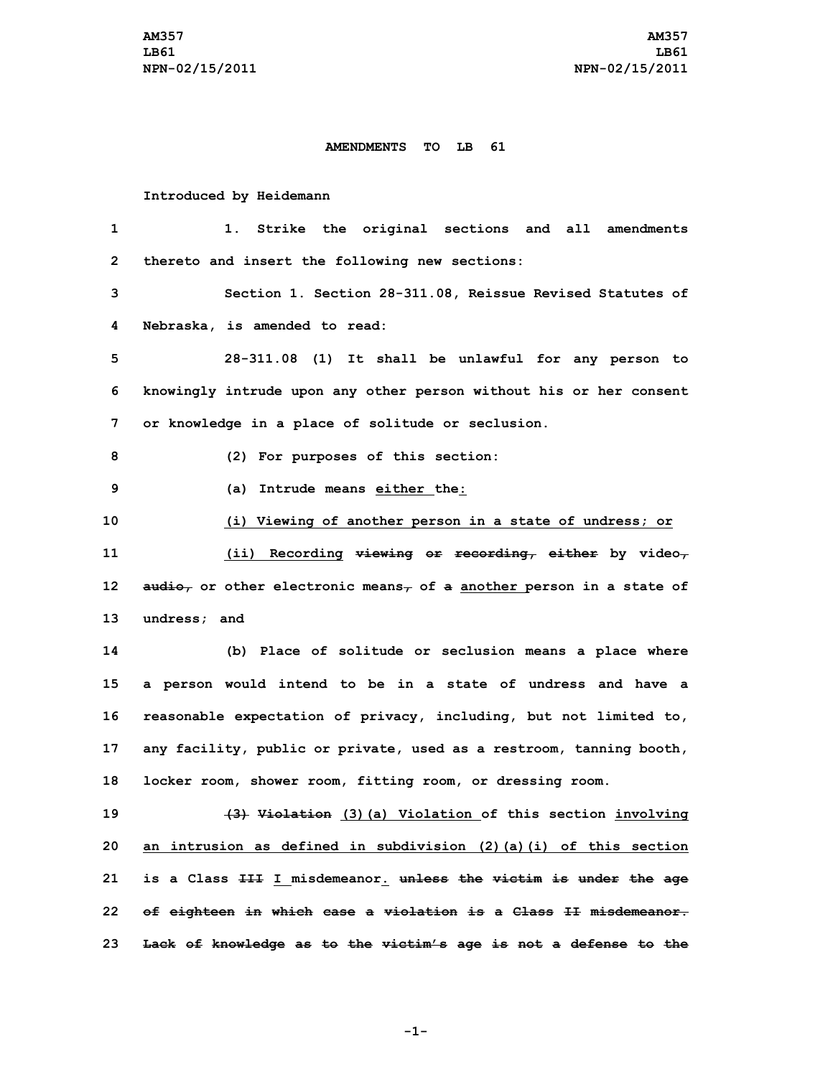## **AMENDMENTS TO LB 61**

## **Introduced by Heidemann**

 **1. Strike the original sections and all amendments thereto and insert the following new sections: Section 1. Section 28-311.08, Reissue Revised Statutes of Nebraska, is amended to read: 28-311.08 (1) It shall be unlawful for any person to knowingly intrude upon any other person without his or her consent or knowledge in <sup>a</sup> place of solitude or seclusion. (2) For purposes of this section: (a) Intrude means either the: (i) Viewing of another person in <sup>a</sup> state of undress; or (ii) Recording viewing or recording, either by video, audio, or other electronic means, of <sup>a</sup> another person in <sup>a</sup> state of undress; and (b) Place of solitude or seclusion means <sup>a</sup> place where <sup>a</sup> person would intend to be in <sup>a</sup> state of undress and have <sup>a</sup> reasonable expectation of privacy, including, but not limited to, any facility, public or private, used as <sup>a</sup> restroom, tanning booth, locker room, shower room, fitting room, or dressing room. (3) Violation (3)(a) Violation of this section involving an intrusion as defined in subdivision (2)(a)(i) of this section is <sup>a</sup> Class III <sup>I</sup> misdemeanor. unless the victim is under the age of eighteen in which case <sup>a</sup> violation is <sup>a</sup> Class II misdemeanor. Lack of knowledge as to the victim's age is not <sup>a</sup> defense to the**

**-1-**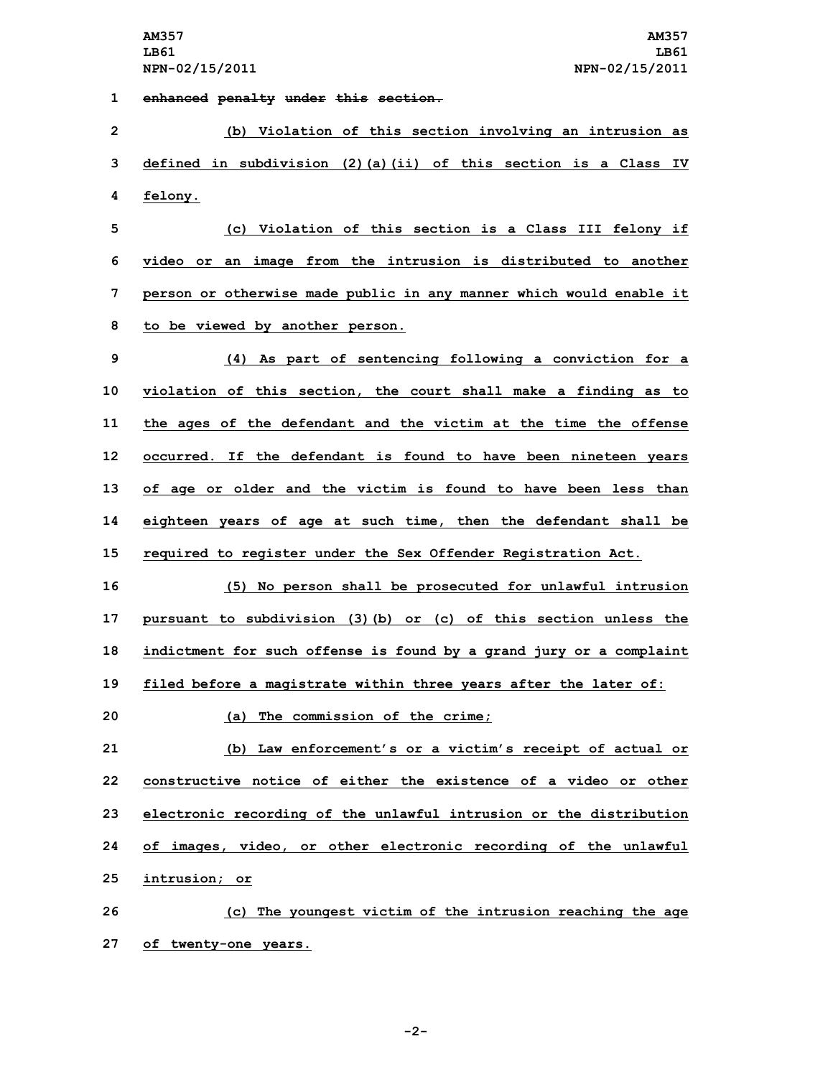**1 enhanced penalty under this section.**

**2 (b) Violation of this section involving an intrusion as 3 defined in subdivision (2)(a)(ii) of this section is <sup>a</sup> Class IV 4 felony.**

 **(c) Violation of this section is <sup>a</sup> Class III felony if video or an image from the intrusion is distributed to another person or otherwise made public in any manner which would enable it to be viewed by another person.**

 **(4) As part of sentencing following <sup>a</sup> conviction for <sup>a</sup> violation of this section, the court shall make <sup>a</sup> finding as to the ages of the defendant and the victim at the time the offense occurred. If the defendant is found to have been nineteen years of age or older and the victim is found to have been less than eighteen years of age at such time, then the defendant shall be required to register under the Sex Offender Registration Act.**

 **(5) No person shall be prosecuted for unlawful intrusion pursuant to subdivision (3)(b) or (c) of this section unless the indictment for such offense is found by <sup>a</sup> grand jury or <sup>a</sup> complaint filed before <sup>a</sup> magistrate within three years after the later of:**

**20 (a) The commission of the crime;**

 **(b) Law enforcement's or <sup>a</sup> victim's receipt of actual or constructive notice of either the existence of a video or other electronic recording of the unlawful intrusion or the distribution of images, video, or other electronic recording of the unlawful intrusion; or**

**26 (c) The youngest victim of the intrusion reaching the age 27 of twenty-one years.**

**-2-**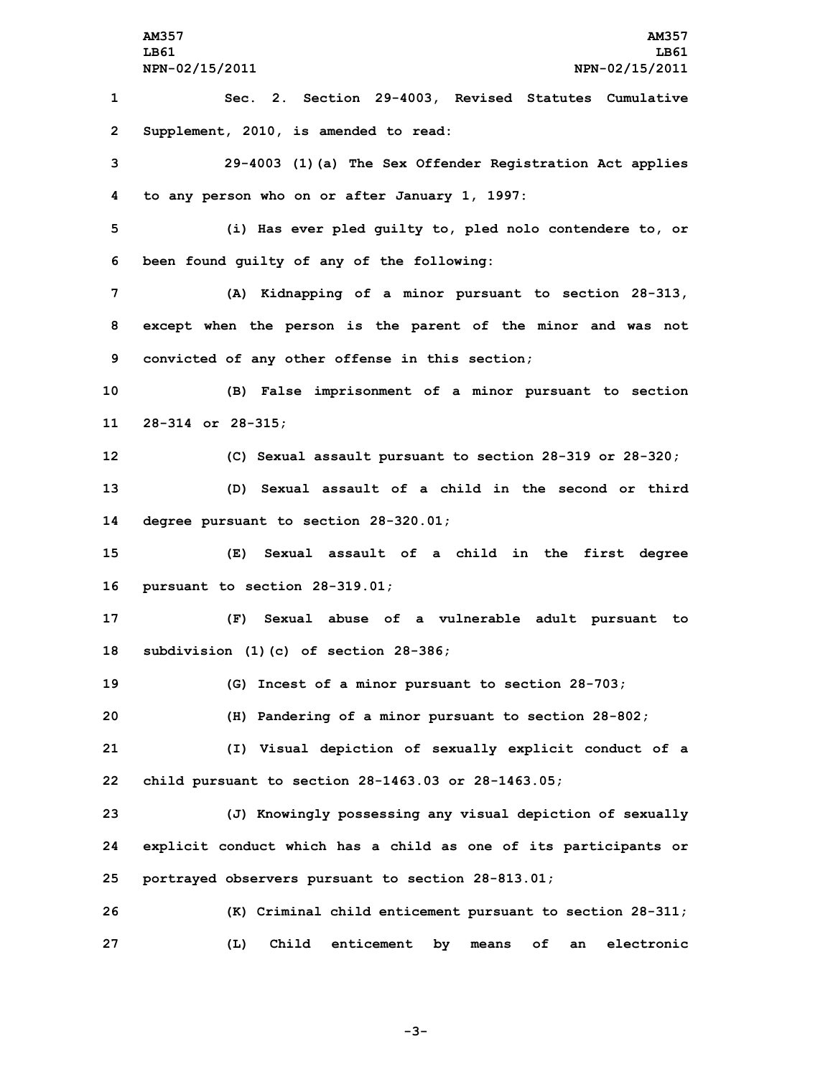**AM357 AM357 LB61 LB61 NPN-02/15/2011 NPN-02/15/2011 Sec. 2. Section 29-4003, Revised Statutes Cumulative Supplement, 2010, is amended to read: 29-4003 (1)(a) The Sex Offender Registration Act applies to any person who on or after January 1, 1997: (i) Has ever pled guilty to, pled nolo contendere to, or been found guilty of any of the following: (A) Kidnapping of <sup>a</sup> minor pursuant to section 28-313, except when the person is the parent of the minor and was not convicted of any other offense in this section; (B) False imprisonment of <sup>a</sup> minor pursuant to section 28-314 or 28-315; (C) Sexual assault pursuant to section 28-319 or 28-320; (D) Sexual assault of <sup>a</sup> child in the second or third degree pursuant to section 28-320.01; (E) Sexual assault of <sup>a</sup> child in the first degree pursuant to section 28-319.01; (F) Sexual abuse of <sup>a</sup> vulnerable adult pursuant to subdivision (1)(c) of section 28-386; (G) Incest of <sup>a</sup> minor pursuant to section 28-703; (H) Pandering of <sup>a</sup> minor pursuant to section 28-802; (I) Visual depiction of sexually explicit conduct of <sup>a</sup> child pursuant to section 28-1463.03 or 28-1463.05; (J) Knowingly possessing any visual depiction of sexually explicit conduct which has <sup>a</sup> child as one of its participants or portrayed observers pursuant to section 28-813.01; (K) Criminal child enticement pursuant to section 28-311; (L) Child enticement by means of an electronic**

**-3-**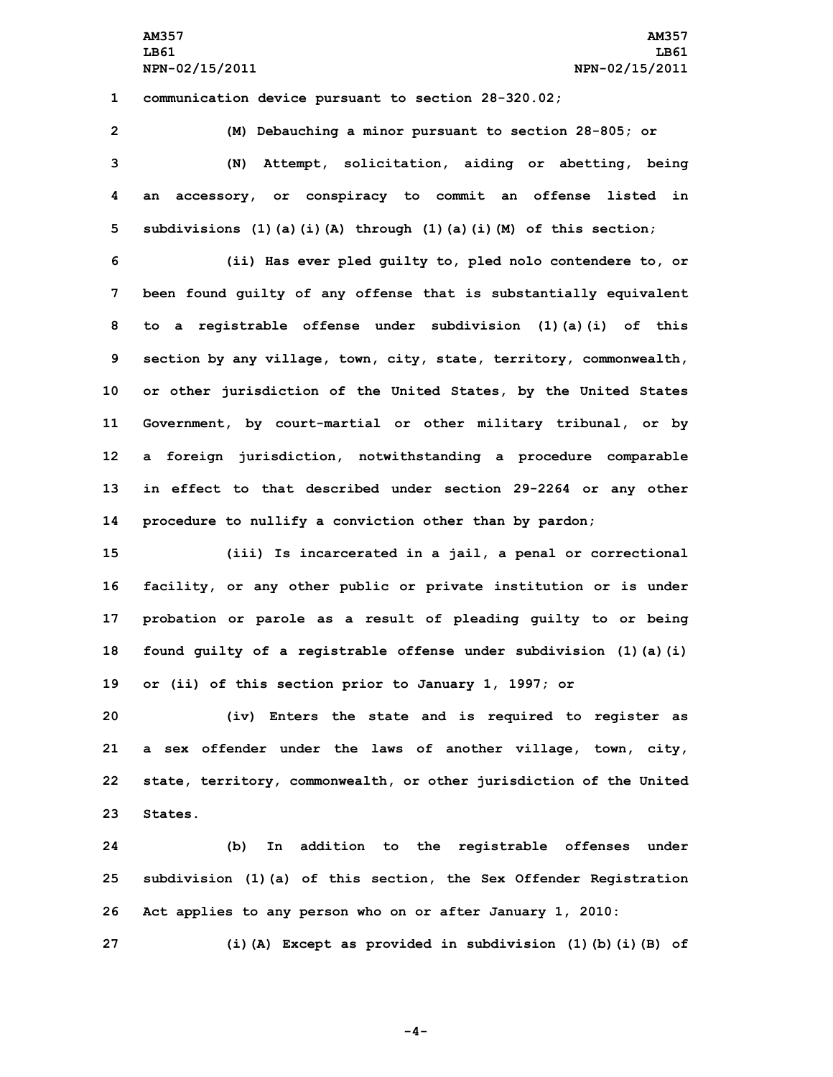**AM357 AM357 LB61 LB61 NPN-02/15/2011 NPN-02/15/2011**

**1 communication device pursuant to section 28-320.02;**

 **(M) Debauching <sup>a</sup> minor pursuant to section 28-805; or (N) Attempt, solicitation, aiding or abetting, being an accessory, or conspiracy to commit an offense listed in subdivisions (1)(a)(i)(A) through (1)(a)(i)(M) of this section;**

 **(ii) Has ever pled guilty to, pled nolo contendere to, or been found guilty of any offense that is substantially equivalent to <sup>a</sup> registrable offense under subdivision (1)(a)(i) of this section by any village, town, city, state, territory, commonwealth, or other jurisdiction of the United States, by the United States Government, by court-martial or other military tribunal, or by <sup>a</sup> foreign jurisdiction, notwithstanding <sup>a</sup> procedure comparable in effect to that described under section 29-2264 or any other procedure to nullify <sup>a</sup> conviction other than by pardon;**

 **(iii) Is incarcerated in <sup>a</sup> jail, <sup>a</sup> penal or correctional facility, or any other public or private institution or is under probation or parole as <sup>a</sup> result of pleading guilty to or being found guilty of <sup>a</sup> registrable offense under subdivision (1)(a)(i) or (ii) of this section prior to January 1, 1997; or**

 **(iv) Enters the state and is required to register as <sup>a</sup> sex offender under the laws of another village, town, city, state, territory, commonwealth, or other jurisdiction of the United 23 States.**

**24 (b) In addition to the registrable offenses under 25 subdivision (1)(a) of this section, the Sex Offender Registration 26 Act applies to any person who on or after January 1, 2010:**

**27 (i)(A) Except as provided in subdivision (1)(b)(i)(B) of**

**-4-**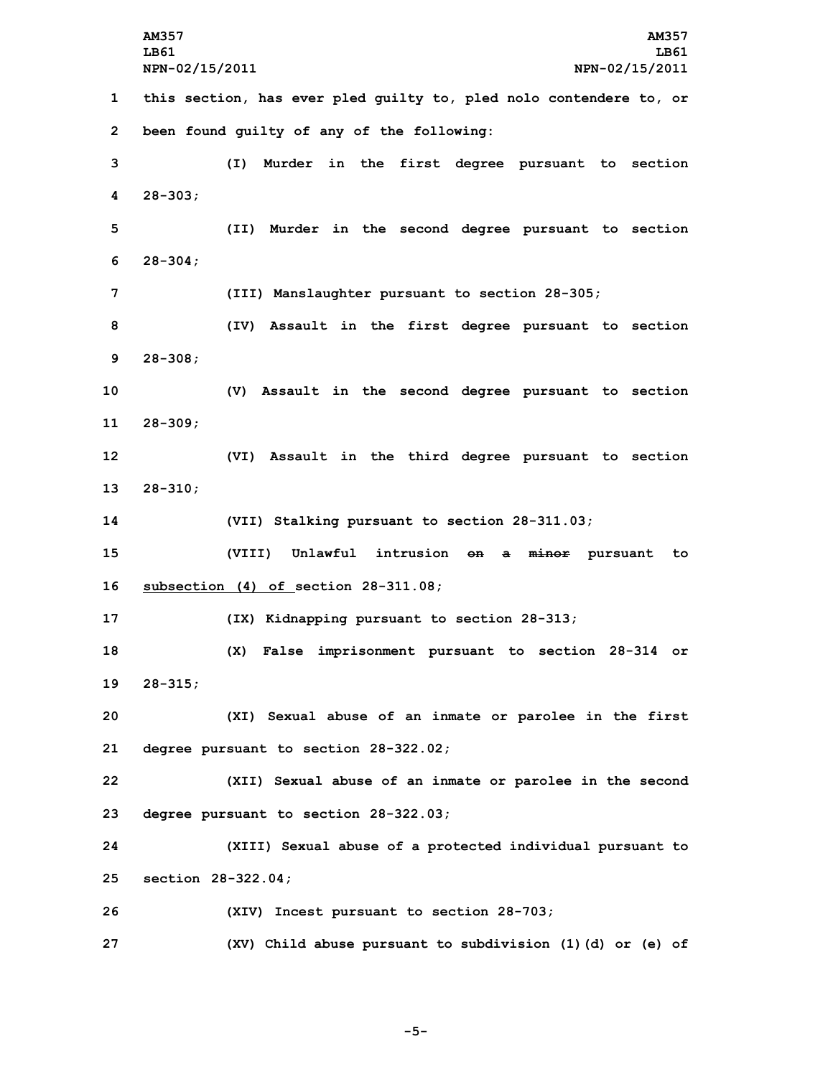**AM357 AM357 LB61 LB61 NPN-02/15/2011 NPN-02/15/2011 this section, has ever pled guilty to, pled nolo contendere to, or been found guilty of any of the following: (I) Murder in the first degree pursuant to section 4 28-303; (II) Murder in the second degree pursuant to section 6 28-304; (III) Manslaughter pursuant to section 28-305; (IV) Assault in the first degree pursuant to section 9 28-308; (V) Assault in the second degree pursuant to section 11 28-309; (VI) Assault in the third degree pursuant to section 13 28-310; (VII) Stalking pursuant to section 28-311.03; (VIII) Unlawful intrusion on <sup>a</sup> minor pursuant to subsection (4) of section 28-311.08; (IX) Kidnapping pursuant to section 28-313; (X) False imprisonment pursuant to section 28-314 or 19 28-315; (XI) Sexual abuse of an inmate or parolee in the first degree pursuant to section 28-322.02; (XII) Sexual abuse of an inmate or parolee in the second degree pursuant to section 28-322.03; (XIII) Sexual abuse of <sup>a</sup> protected individual pursuant to section 28-322.04; (XIV) Incest pursuant to section 28-703; (XV) Child abuse pursuant to subdivision (1)(d) or (e) of**

**-5-**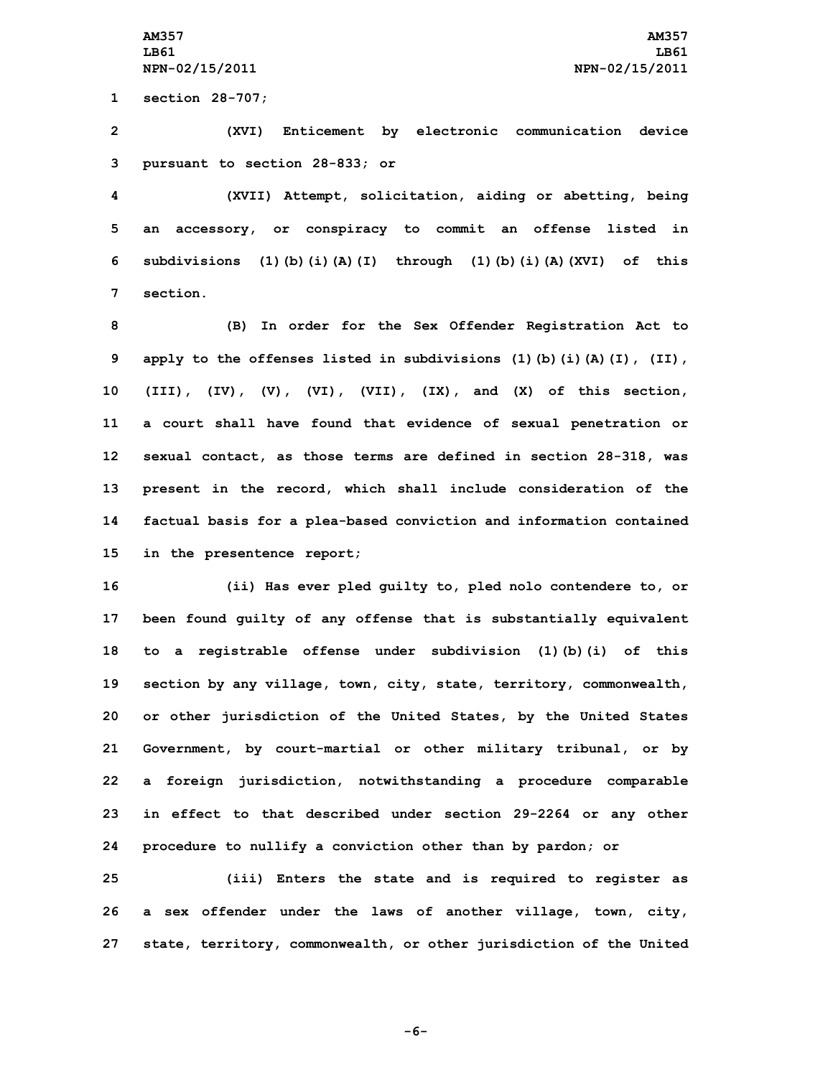**1 section 28-707;**

**2 (XVI) Enticement by electronic communication device 3 pursuant to section 28-833; or**

 **(XVII) Attempt, solicitation, aiding or abetting, being an accessory, or conspiracy to commit an offense listed in subdivisions (1)(b)(i)(A)(I) through (1)(b)(i)(A)(XVI) of this 7 section.**

 **(B) In order for the Sex Offender Registration Act to apply to the offenses listed in subdivisions (1)(b)(i)(A)(I), (II), (III), (IV), (V), (VI), (VII), (IX), and (X) of this section, <sup>a</sup> court shall have found that evidence of sexual penetration or sexual contact, as those terms are defined in section 28-318, was present in the record, which shall include consideration of the factual basis for <sup>a</sup> plea-based conviction and information contained in the presentence report;**

 **(ii) Has ever pled guilty to, pled nolo contendere to, or been found guilty of any offense that is substantially equivalent to <sup>a</sup> registrable offense under subdivision (1)(b)(i) of this section by any village, town, city, state, territory, commonwealth, or other jurisdiction of the United States, by the United States Government, by court-martial or other military tribunal, or by <sup>a</sup> foreign jurisdiction, notwithstanding <sup>a</sup> procedure comparable in effect to that described under section 29-2264 or any other procedure to nullify <sup>a</sup> conviction other than by pardon; or**

**25 (iii) Enters the state and is required to register as 26 <sup>a</sup> sex offender under the laws of another village, town, city, 27 state, territory, commonwealth, or other jurisdiction of the United**

**-6-**